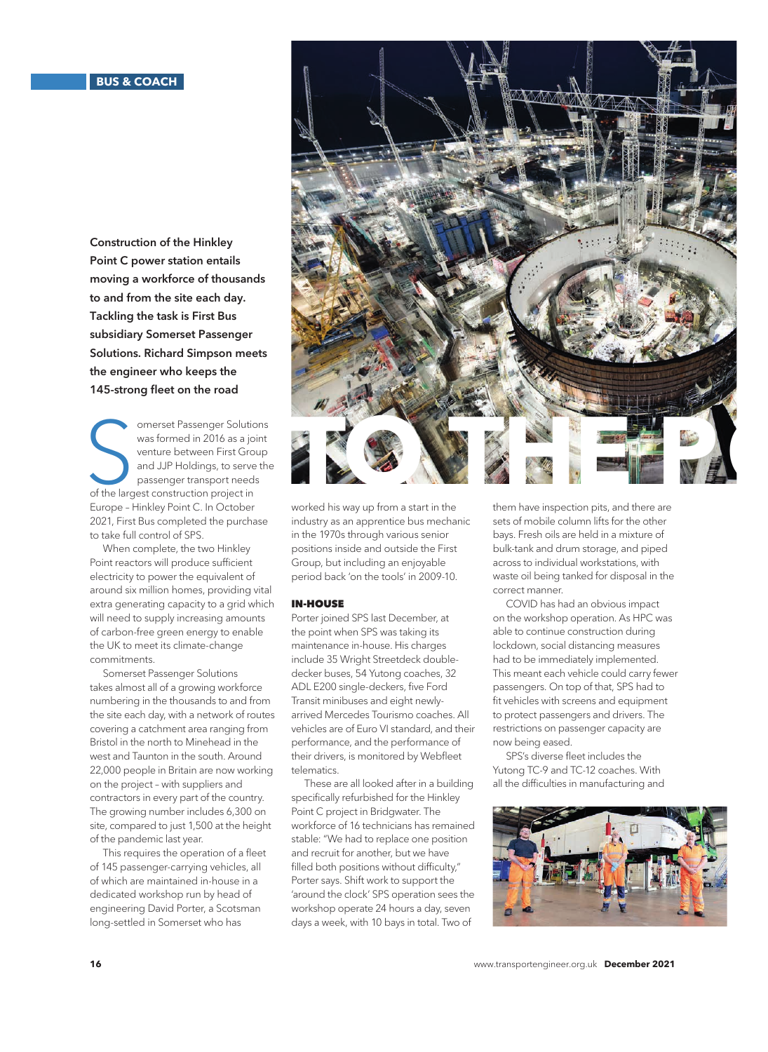Construction of the Hinkley Point C power station entails moving a workforce of thousands to and from the site each day. Tackling the task is First Bus subsidiary Somerset Passenger Solutions. Richard Simpson meets the engineer who keeps the 145-strong fleet on the road

omerset Passenger Solutic<br>
was formed in 2016 as a jo<br>
venture between First Gro<br>
and JJP Holdings, to serve<br>
passenger transport need:<br>
of the largest construction project in omerset Passenger Solutions was formed in 2016 as a joint venture between First Group and JJP Holdings, to serve the passenger transport needs Europe – Hinkley Point C. In October 2021, First Bus completed the purchase to take full control of SPS.

When complete, the two Hinkley Point reactors will produce sufficient electricity to power the equivalent of around six million homes, providing vital extra generating capacity to a grid which will need to supply increasing amounts of carbon-free green energy to enable the UK to meet its climate-change commitments.

Somerset Passenger Solutions takes almost all of a growing workforce numbering in the thousands to and from the site each day, with a network of routes covering a catchment area ranging from Bristol in the north to Minehead in the west and Taunton in the south. Around 22,000 people in Britain are now working on the project – with suppliers and contractors in every part of the country. The growing number includes 6,300 on site, compared to just 1,500 at the height of the pandemic last year.

This requires the operation of a fleet of 145 passenger-carrying vehicles, all of which are maintained in-house in a dedicated workshop run by head of engineering David Porter, a Scotsman long-settled in Somerset who has



worked his way up from a start in the industry as an apprentice bus mechanic in the 1970s through various senior positions inside and outside the First Group, but including an enjoyable period back 'on the tools' in 2009-10.

## IN-HOUSE

Porter joined SPS last December, at the point when SPS was taking its maintenance in-house. His charges include 35 Wright Streetdeck doubledecker buses, 54 Yutong coaches, 32 ADL E200 single-deckers, five Ford Transit minibuses and eight newlyarrived Mercedes Tourismo coaches. All vehicles are of Euro VI standard, and their performance, and the performance of their drivers, is monitored by Webfleet telematics.

These are all looked after in a building specifically refurbished for the Hinkley Point C project in Bridgwater. The workforce of 16 technicians has remained stable: "We had to replace one position and recruit for another, but we have filled both positions without difficulty," Porter says. Shift work to support the 'around the clock' SPS operation sees the workshop operate 24 hours a day, seven days a week, with 10 bays in total. Two of

them have inspection pits, and there are sets of mobile column lifts for the other bays. Fresh oils are held in a mixture of bulk-tank and drum storage, and piped across to individual workstations, with waste oil being tanked for disposal in the correct manner.

COVID has had an obvious impact on the workshop operation. As HPC was able to continue construction during lockdown, social distancing measures had to be immediately implemented. This meant each vehicle could carry fewer passengers. On top of that, SPS had to fit vehicles with screens and equipment to protect passengers and drivers. The restrictions on passenger capacity are now being eased.

SPS's diverse fleet includes the Yutong TC-9 and TC-12 coaches. With all the difficulties in manufacturing and